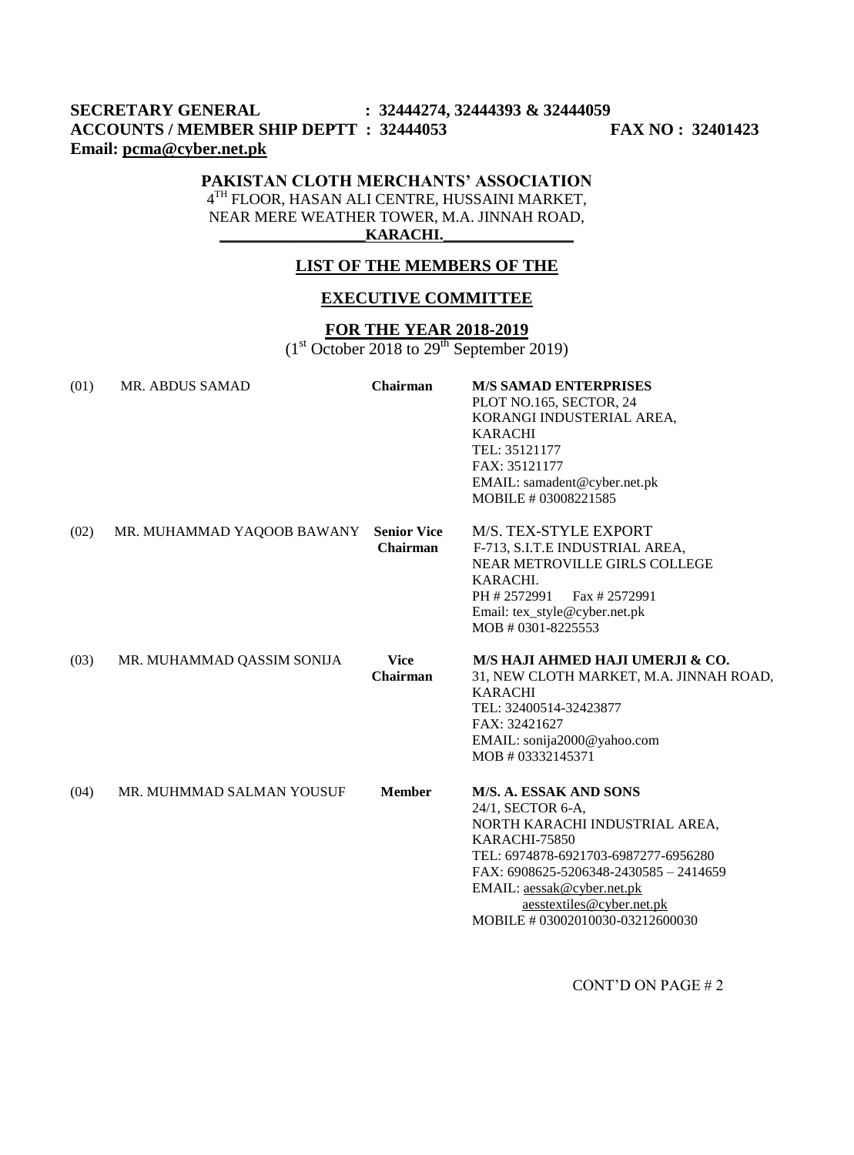# **SECRETARY GENERAL : 32444274, 32444393 & 32444059 ACCOUNTS / MEMBER SHIP DEPTT : 32444053 FAX NO : 32401423 Email: [pcma@cyber.net.pk](mailto:pcma@cyber.net.pk)**

## **PAKISTAN CLOTH MERCHANTS' ASSOCIATION**

4 TH FLOOR, HASAN ALI CENTRE, HUSSAINI MARKET, NEAR MERE WEATHER TOWER, M.A. JINNAH ROAD,  $KARACHI.$ 

#### **LIST OF THE MEMBERS OF THE**

## **EXECUTIVE COMMITTEE**

### **FOR THE YEAR 2018-2019**

 $(1<sup>st</sup> October 2018 to 29<sup>th</sup> September 2019)$ 

| (01) | <b>MR. ABDUS SAMAD</b>     | Chairman                              | <b>M/S SAMAD ENTERPRISES</b><br>PLOT NO.165, SECTOR, 24<br>KORANGI INDUSTERIAL AREA,<br><b>KARACHI</b><br>TEL: 35121177<br>FAX: 35121177<br>EMAIL: samadent@cyber.net.pk<br>MOBILE #03008221585                                                                                        |
|------|----------------------------|---------------------------------------|----------------------------------------------------------------------------------------------------------------------------------------------------------------------------------------------------------------------------------------------------------------------------------------|
| (02) | MR. MUHAMMAD YAQOOB BAWANY | <b>Senior Vice</b><br><b>Chairman</b> | M/S. TEX-STYLE EXPORT<br>F-713, S.I.T.E INDUSTRIAL AREA,<br><b>NEAR METROVILLE GIRLS COLLEGE</b><br>KARACHI.<br>Fax #2572991<br>PH #2572991<br>Email: tex_style@cyber.net.pk<br>MOB # 0301-8225553                                                                                     |
| (03) | MR. MUHAMMAD QASSIM SONIJA | <b>Vice</b><br>Chairman               | M/S HAJI AHMED HAJI UMERJI & CO.<br>31, NEW CLOTH MARKET, M.A. JINNAH ROAD,<br><b>KARACHI</b><br>TEL: 32400514-32423877<br>FAX: 32421627<br>EMAIL: sonija2000@yahoo.com<br>MOB # 03332145371                                                                                           |
| (04) | MR. MUHMMAD SALMAN YOUSUF  | <b>Member</b>                         | <b>M/S. A. ESSAK AND SONS</b><br>24/1, SECTOR 6-A,<br>NORTH KARACHI INDUSTRIAL AREA,<br>KARACHI-75850<br>TEL: 6974878-6921703-6987277-6956280<br>FAX: 6908625-5206348-2430585 - 2414659<br>EMAIL: aessak@cyber.net.pk<br>aesstextiles@cyber.net.pk<br>MOBILE # 03002010030-03212600030 |

CONT'D ON PAGE # 2